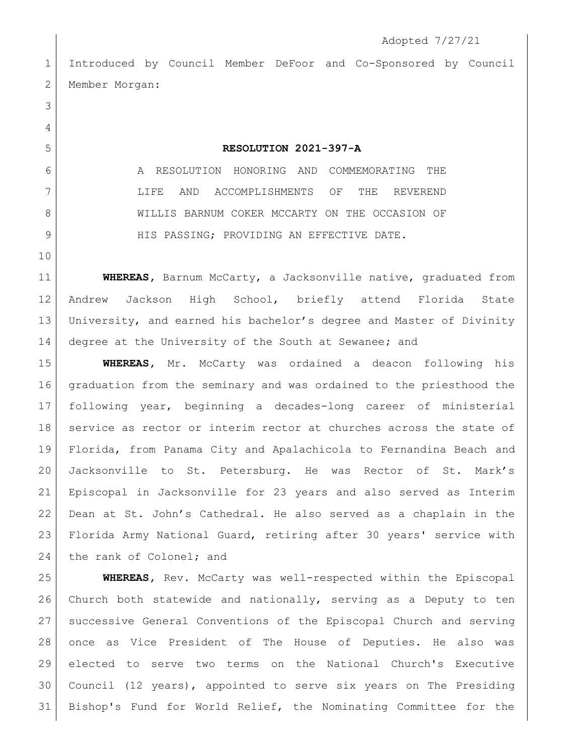Introduced by Council Member DeFoor and Co-Sponsored by Council 2 | Member Morgan:

 

## **RESOLUTION 2021-397-A**

6 A RESOLUTION HONORING AND COMMEMORATING THE LIFE AND ACCOMPLISHMENTS OF THE REVEREND 8 WILLIS BARNUM COKER MCCARTY ON THE OCCASION OF 9 HIS PASSING; PROVIDING AN EFFECTIVE DATE.

 **WHEREAS,** Barnum McCarty, a Jacksonville native, graduated from Andrew Jackson High School, briefly attend Florida State University, and earned his bachelor's degree and Master of Divinity degree at the University of the South at Sewanee**;** and

 **WHEREAS,** Mr. McCarty was ordained a deacon following his graduation from the seminary and was ordained to the priesthood the following year, beginning a decades-long career of ministerial 18 service as rector or interim rector at churches across the state of Florida, from Panama City and Apalachicola to Fernandina Beach and Jacksonville to St. Petersburg. He was Rector of St. Mark's Episcopal in Jacksonville for 23 years and also served as Interim Dean at St. John's Cathedral. He also served as a chaplain in the Florida Army National Guard, retiring after 30 years' service with 24 the rank of Colonel; and

 **WHEREAS,** Rev. McCarty was well-respected within the Episcopal Church both statewide and nationally, serving as a Deputy to ten successive General Conventions of the Episcopal Church and serving once as Vice President of The House of Deputies. He also was elected to serve two terms on the National Church's Executive Council (12 years), appointed to serve six years on The Presiding Bishop's Fund for World Relief, the Nominating Committee for the